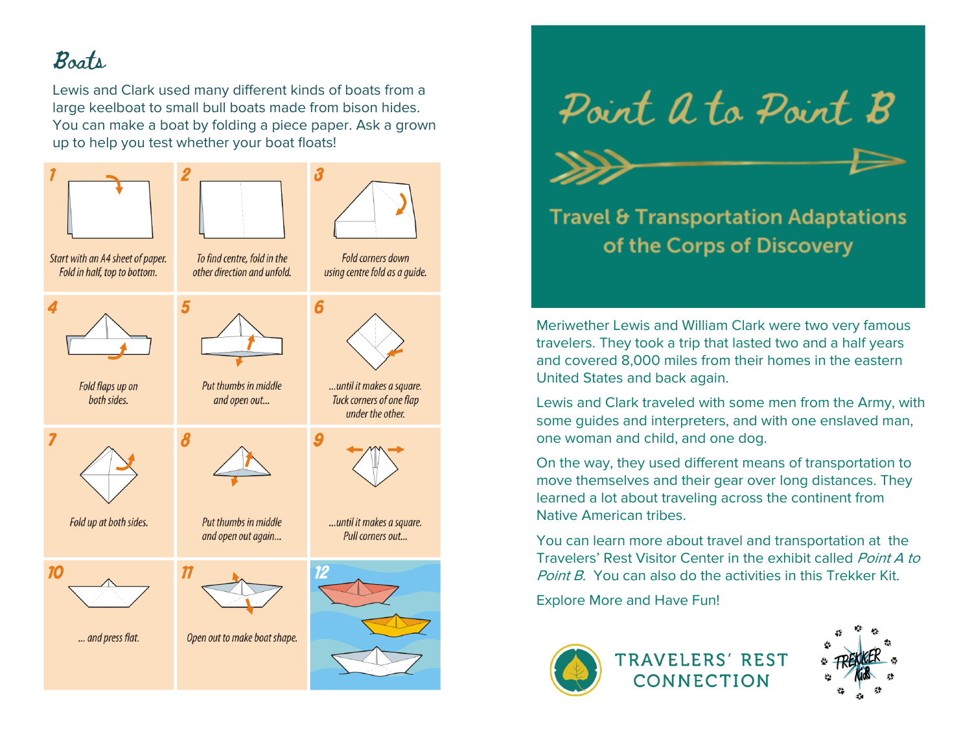## Boats

Lewis and Clark used many different kinds of boats from a large keelboat to small bull boats made from bison hides. You can make a boat by folding a piece paper. Ask a grown up to help you test whether your boat floats!







## **Travel & Transportation Adaptations** of the Corps of Discovery

Meriwether Lewis and William Clark were two very famous travelers. They took a trip that lasted two and a half years and covered 8,000 miles from their homes in the eastern United States and back again.

Lewis and Clark traveled with some men from the Army, with some guides and interpreters, and with one enslaved man, one woman and child, and one dog.

On the way, they used different means of transportation to move themselves and their gear over long distances. They learned a lot about traveling across the continent from Native American tribes.

You can learn more about travel and transportation at the Travelers' Rest Visitor Center in the exhibit called Point A to Point B. You can also do the activities in this Trekker Kit.

Explore More and Have Fun!



**TRAVELERS' REST** CONNECTION